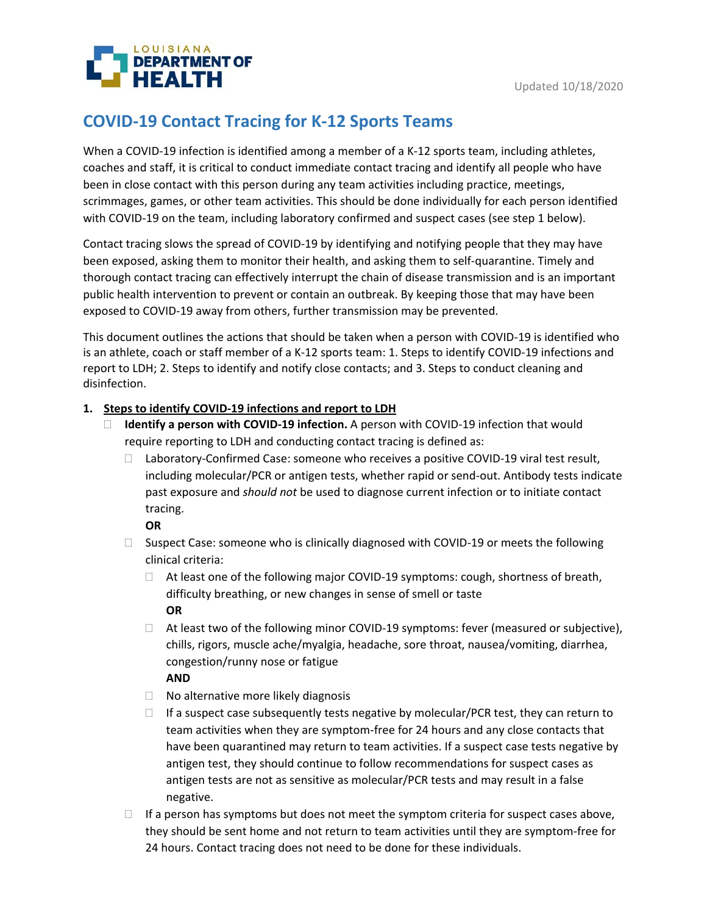

# **COVID-19 Contact Tracing for K-12 Sports Teams**

When a COVID-19 infection is identified among a member of a K-12 sports team, including athletes, coaches and staff, it is critical to conduct immediate contact tracing and identify all people who have been in close contact with this person during any team activities including practice, meetings, scrimmages, games, or other team activities. This should be done individually for each person identified with COVID-19 on the team, including laboratory confirmed and suspect cases (see step 1 below).

Contact tracing slows the spread of COVID-19 by identifying and notifying people that they may have been exposed, asking them to monitor their health, and asking them to self-quarantine. Timely and thorough contact tracing can effectively interrupt the chain of disease transmission and is an important public health intervention to prevent or contain an outbreak. By keeping those that may have been exposed to COVID-19 away from others, further transmission may be prevented.

This document outlines the actions that should be taken when a person with COVID-19 is identified who is an athlete, coach or staff member of a K-12 sports team: 1. Steps to identify COVID-19 infections and report to LDH; 2. Steps to identify and notify close contacts; and 3. Steps to conduct cleaning and disinfection.

## **1. Steps to identify COVID-19 infections and report to LDH**

- **Identify a person with COVID-19 infection.** A person with COVID-19 infection that would require reporting to LDH and conducting contact tracing is defined as:
	- $\Box$  Laboratory-Confirmed Case: someone who receives a positive COVID-19 viral test result, including molecular/PCR or antigen tests, whether rapid or send-out. Antibody tests indicate past exposure and *should not* be used to diagnose current infection or to initiate contact tracing.

**OR**

- $\Box$  Suspect Case: someone who is clinically diagnosed with COVID-19 or meets the following clinical criteria:
	- $\Box$  At least one of the following major COVID-19 symptoms: cough, shortness of breath, difficulty breathing, or new changes in sense of smell or taste **OR**
	- $\Box$  At least two of the following minor COVID-19 symptoms: fever (measured or subjective), chills, rigors, muscle ache/myalgia, headache, sore throat, nausea/vomiting, diarrhea, congestion/runny nose or fatigue

**AND**

- $\Box$  No alternative more likely diagnosis
- $\Box$  If a suspect case subsequently tests negative by molecular/PCR test, they can return to team activities when they are symptom-free for 24 hours and any close contacts that have been quarantined may return to team activities. If a suspect case tests negative by antigen test, they should continue to follow recommendations for suspect cases as antigen tests are not as sensitive as molecular/PCR tests and may result in a false negative.
- $\Box$  If a person has symptoms but does not meet the symptom criteria for suspect cases above, they should be sent home and not return to team activities until they are symptom-free for 24 hours. Contact tracing does not need to be done for these individuals.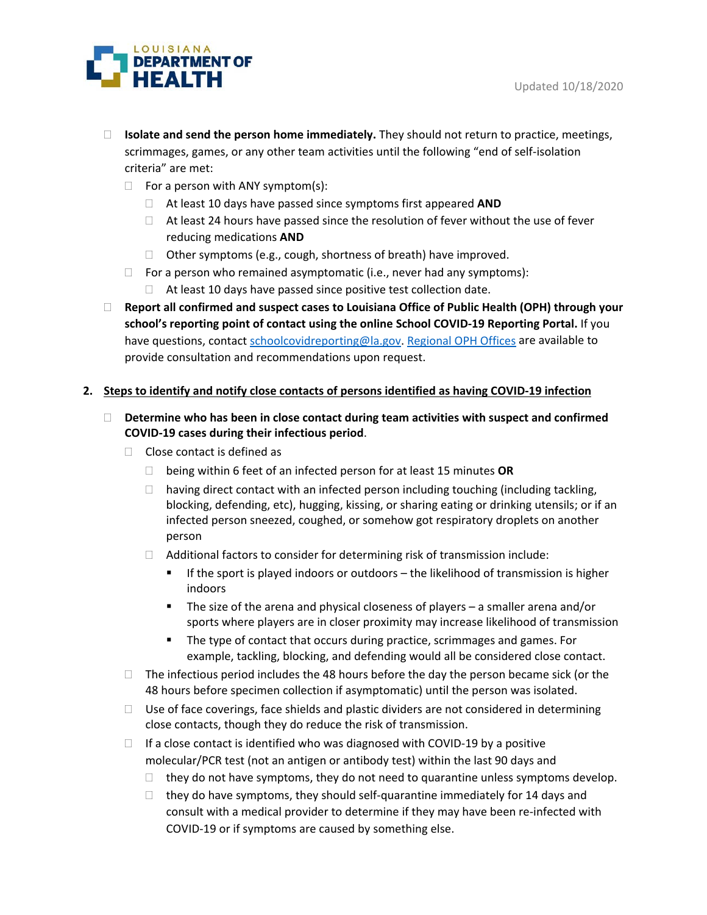

- **Isolate and send the person home immediately.** They should not return to practice, meetings, scrimmages, games, or any other team activities until the following "end of self-isolation criteria" are met:
	- $\Box$  For a person with ANY symptom(s):
		- At least 10 days have passed since symptoms first appeared **AND**
		- $\Box$  At least 24 hours have passed since the resolution of fever without the use of fever reducing medications **AND**
		- $\Box$  Other symptoms (e.g., cough, shortness of breath) have improved.
	- $\Box$  For a person who remained asymptomatic (i.e., never had any symptoms):
		- $\Box$  At least 10 days have passed since positive test collection date.
- **Report all confirmed and suspect cases to Louisiana Office of Public Health (OPH) through your school's reporting point of contact using the online School COVID-19 Reporting Portal.** If you have questions, contac[t schoolcovidreporting@la.gov.](mailto:schoolcovidreporting@la.gov) [Regional OPH Offices](https://ldh.la.gov/index.cfm/directory/category/13) are available to provide consultation and recommendations upon request.

#### **2. Steps to identify and notify close contacts of persons identified as having COVID-19 infection**

- **Determine who has been in close contact during team activities with suspect and confirmed COVID-19 cases during their infectious period**.
	- $\Box$  Close contact is defined as
		- being within 6 feet of an infected person for at least 15 minutes **OR**
		- $\Box$  having direct contact with an infected person including touching (including tackling, blocking, defending, etc), hugging, kissing, or sharing eating or drinking utensils; or if an infected person sneezed, coughed, or somehow got respiratory droplets on another person
		- $\Box$  Additional factors to consider for determining risk of transmission include:
			- **If the sport is played indoors or outdoors the likelihood of transmission is higher** indoors
			- The size of the arena and physical closeness of players a smaller arena and/or sports where players are in closer proximity may increase likelihood of transmission
			- The type of contact that occurs during practice, scrimmages and games. For example, tackling, blocking, and defending would all be considered close contact.
	- $\Box$  The infectious period includes the 48 hours before the day the person became sick (or the 48 hours before specimen collection if asymptomatic) until the person was isolated.
	- $\Box$  Use of face coverings, face shields and plastic dividers are not considered in determining close contacts, though they do reduce the risk of transmission.
	- $\Box$  If a close contact is identified who was diagnosed with COVID-19 by a positive molecular/PCR test (not an antigen or antibody test) within the last 90 days and
		- $\Box$  they do not have symptoms, they do not need to quarantine unless symptoms develop.
		- $\Box$  they do have symptoms, they should self-quarantine immediately for 14 days and consult with a medical provider to determine if they may have been re-infected with COVID-19 or if symptoms are caused by something else.